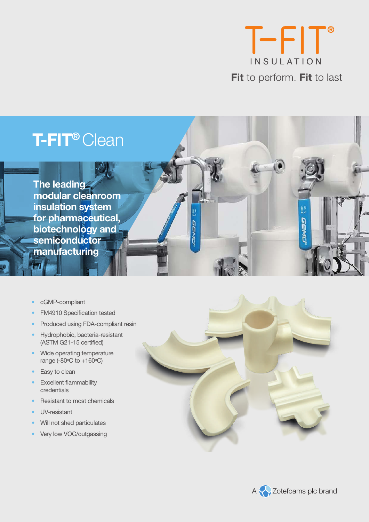

**GERY** 



**The leading modular cleanroom insulation system for pharmaceutical, biotechnology and semiconductor manufacturing** 

- cGMP-compliant
- FM4910 Specification tested
- Produced using FDA-compliant resin
- Hydrophobic, bacteria-resistant (ASTM G21-15 certified)
- Wide operating temperature range (-80 $\degree$ C to +160 $\degree$ C)
- Easy to clean
- **Excellent flammability** credentials
- Resistant to most chemicals
- UV-resistant
- Will not shed particulates
- Very low VOC/outgassing